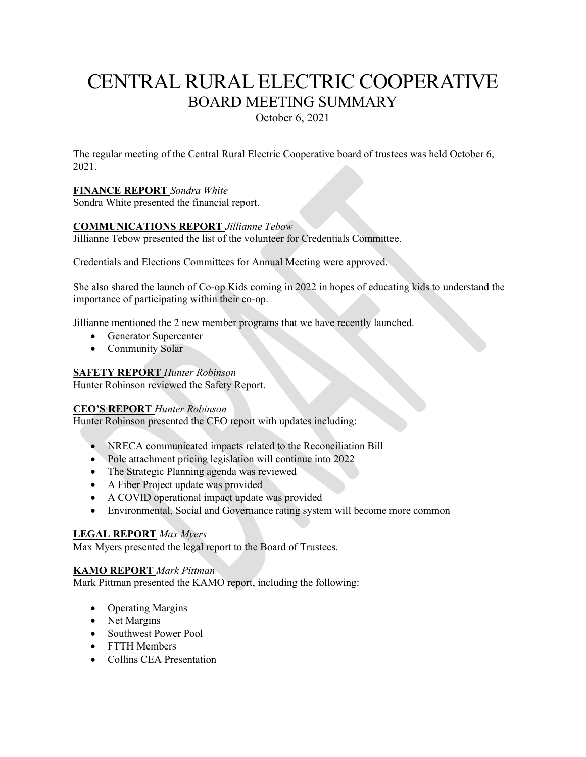# CENTRAL RURAL ELECTRIC COOPERATIVE BOARD MEETING SUMMARY

October 6, 2021

The regular meeting of the Central Rural Electric Cooperative board of trustees was held October 6, 2021.

## **FINANCE REPORT** *Sondra White*

Sondra White presented the financial report.

## **COMMUNICATIONS REPORT** *Jillianne Tebow*

Jillianne Tebow presented the list of the volunteer for Credentials Committee.

Credentials and Elections Committees for Annual Meeting were approved.

She also shared the launch of Co-op Kids coming in 2022 in hopes of educating kids to understand the importance of participating within their co-op.

Jillianne mentioned the 2 new member programs that we have recently launched.

- Generator Supercenter
- Community Solar

### **SAFETY REPORT** *Hunter Robinson*

Hunter Robinson reviewed the Safety Report.

#### **CEO'S REPORT** *Hunter Robinson*

Hunter Robinson presented the CEO report with updates including:

- NRECA communicated impacts related to the Reconciliation Bill
- Pole attachment pricing legislation will continue into 2022
- The Strategic Planning agenda was reviewed
- A Fiber Project update was provided
- A COVID operational impact update was provided
- Environmental, Social and Governance rating system will become more common

## **LEGAL REPORT** *Max Myers*

Max Myers presented the legal report to the Board of Trustees.

## **KAMO REPORT** *Mark Pittman*

Mark Pittman presented the KAMO report, including the following:

- Operating Margins
- Net Margins
- Southwest Power Pool
- FTTH Members
- Collins CEA Presentation